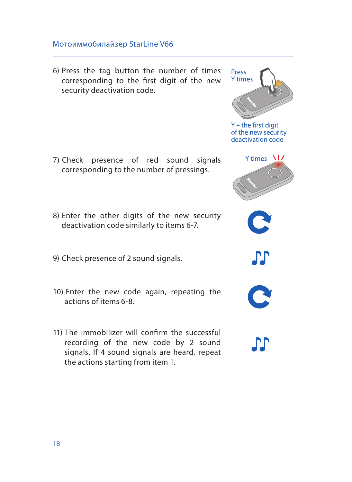#### Motoimobilizer Starl ine V66

6) Press the tag button the number of times corresponding to the first digit of the new security deactivation code.

- 7) Check presence of red sound signals corresponding to the number of pressings.
- 8) Enter the other digits of the new security deactivation code similarly to items 6-7.
- 9) Check presence of 2 sound signals.
- 10) Enter the new code again, repeating the actions of items 6-8.
- 11) The immobilizer will confirm the successful recording of the new code by 2 sound signals. If 4 sound signals are heard, repeat the actions starting from item 1.



 $Y$  – the first digit of the new security deactivation code





**JJ** 



יני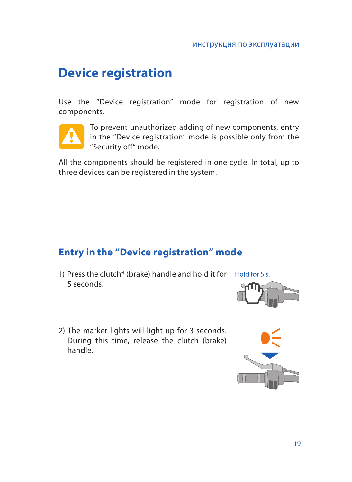# **Device registration**

Use the "Device registration" mode for registration of new components.



To prevent unauthorized adding of new components, entry in the "Device registration" mode is possible only from the "Security off" mode.

All the components should be registered in one cycle. In total, up to three devices can be registered in the system.

### **Entry in the "Device registration" mode**

- 1) Press the clutch\* (brake) handle and hold it for Hold for 5 s. 5 seconds.
- 2) The marker lights will light up for 3 seconds. During this time, release the clutch (brake) handle.

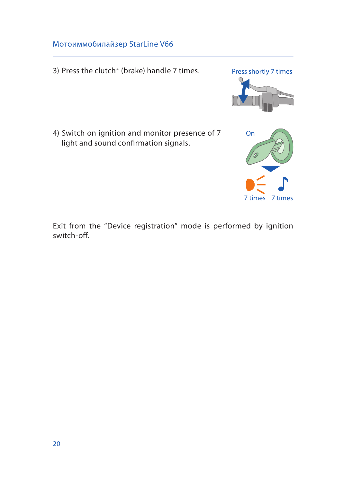### Motoimobilizer StarLine V66

3) Press the clutch\* (brake) handle 7 times.

4) Switch on ignition and monitor presence of 7 light and sound confirmation signals.

Exit from the "Device registration" mode is performed by ignition switch-off.



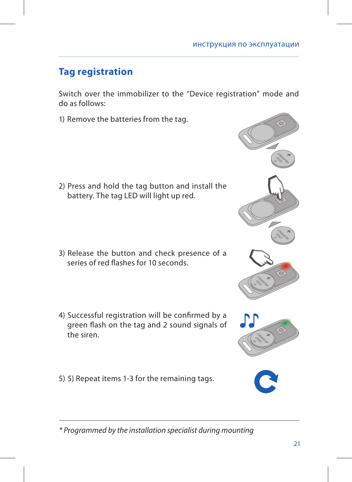## **Tag registration**

Switch over the immobilizer to the "Device registration" mode and do as follows:

1) Remove the batteries from the tag.

2) Press and hold the tag button and install the battery. The tag LED will light up red.

- 3) Release the button and check presence of a series of red flashes for 10 seconds.
- 4) Successful registration will be confirmed by a green flash on the tag and 2 sound signals of the siren.
- 5) 5) Repeat items 1-3 for the remaining tags.







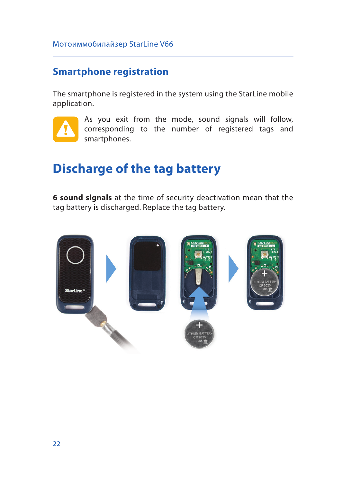### **Smartphone registration**

The smartphone is registered in the system using the StarLine mobile application.



As you exit from the mode, sound signals will follow, corresponding to the number of registered tags and smartphones.

# **Discharge of the tag battery**

**6 sound signals** at the time of security deactivation mean that the tag battery is discharged. Replace the tag battery.

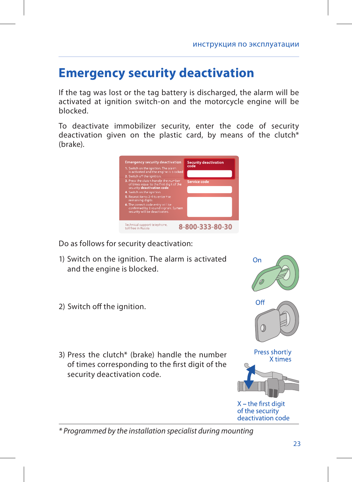## **Emergency security deactivation**

If the tag was lost or the tag battery is discharged, the alarm will be activated at ignition switch-on and the motorcycle engine will be blocked.

To deactivate immobilizer security, enter the code of security deactivation given on the plastic card, by means of the clutch\* (brake).

| <b>Emergency security deactivation</b>                                                                          | <b>Security deactivation</b><br>code |
|-----------------------------------------------------------------------------------------------------------------|--------------------------------------|
| 1. Switch on the ignition. The alarm<br>is activated and the engine is blocked                                  |                                      |
| 2. Switch off the ignition.                                                                                     |                                      |
| 3. Press the clutch handle the number<br>of times equal to the first digit of the<br>security deactivation code | Service code                         |
| 4. Switch on the ignition.                                                                                      |                                      |
| 5. Beneat items 2-4 to enter the                                                                                |                                      |
| remaining digits.                                                                                               |                                      |
| 6. The correct code entry will be<br>confirmed by 3 sound signals. System,<br>security will be deact vated.     |                                      |
| Technical support telephone.                                                                                    | 8-800-333-80-30                      |

Do as follows for security deactivation:

- 1) Switch on the ignition. The alarm is activated and the engine is blocked.
- $On$

- 2) Switch off the ignition.
- 3) Press the clutch\* (brake) handle the number of times corresponding to the first digit of the security deactivation code.







 $X$  – the first digit of the security deactivation code

*\* Programmed by the installation specialist during mounting*